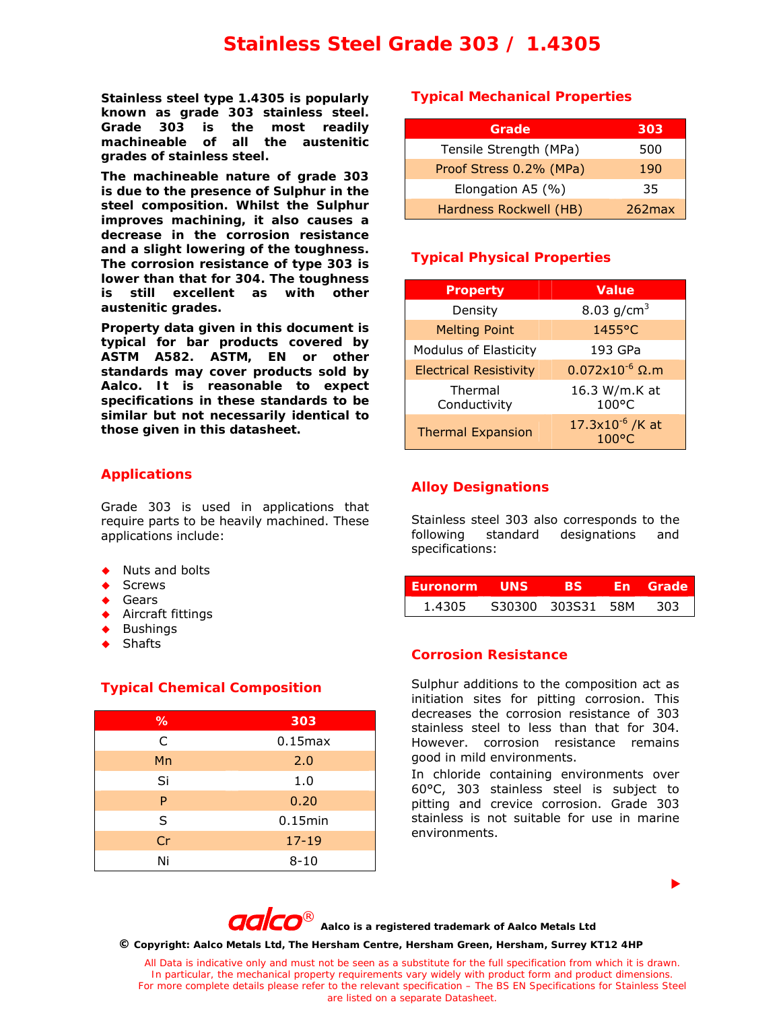# **Stainless Steel Grade 303 / 1.4305**

**Stainless steel type 1.4305 is popularly known as grade 303 stainless steel. Grade 303 is the most readily machineable of all the austenitic grades of stainless steel.** 

**The machineable nature of grade 303 is due to the presence of Sulphur in the steel composition. Whilst the Sulphur improves machining, it also causes a decrease in the corrosion resistance and a slight lowering of the toughness. The corrosion resistance of type 303 is lower than that for 304. The toughness is still excellent as with other austenitic grades.** 

**Property data given in this document is typical for bar products covered by ASTM A582. ASTM, EN or other standards may cover products sold by Aalco. It is reasonable to expect specifications in these standards to be similar but not necessarily identical to those given in this datasheet.**

# **Applications**

Grade 303 is used in applications that require parts to be heavily machined. These applications include:

- Nuts and bolts
- Screws
- Gears
- ◆ Aircraft fittings
- ◆ Bushings
- Shafts

# **Typical Chemical Composition**

| %  | 303          |  |  |  |
|----|--------------|--|--|--|
| C  | $0.15$ $max$ |  |  |  |
| Mn | 2.0          |  |  |  |
| Si | 1.0          |  |  |  |
| P  | 0.20         |  |  |  |
| S  | $0.15$ min   |  |  |  |
| Cr | $17 - 19$    |  |  |  |
| Ni | $8 - 10$     |  |  |  |

## **Typical Mechanical Properties**

| Grade                   | 303       |
|-------------------------|-----------|
| Tensile Strength (MPa)  | 500       |
| Proof Stress 0.2% (MPa) | 190       |
| Elongation A5 (%)       | 35        |
| Hardness Rockwell (HB)  | $262$ max |

# **Typical Physical Properties**

| <b>Property</b>               | <b>Value</b>                                   |  |  |
|-------------------------------|------------------------------------------------|--|--|
| Density                       | 8.03 $g/cm^{3}$                                |  |  |
| <b>Melting Point</b>          | 1455°C                                         |  |  |
| <b>Modulus of Elasticity</b>  | 193 GPa                                        |  |  |
| <b>Electrical Resistivity</b> | $0.072 \times 10^{-6}$ $\Omega$ .m             |  |  |
| Thermal<br>Conductivity       | 16.3 W/m.K at<br>$100^{\circ}$ C               |  |  |
| <b>Thermal Expansion</b>      | $17.3 \times 10^{-6}$ /K at<br>$100^{\circ}$ C |  |  |

# **Alloy Designations**

Stainless steel 303 also corresponds to the following standard designations and specifications:

| <b>Euronorm</b> | ⊥ UNS |                   | Fn | Grade |
|-----------------|-------|-------------------|----|-------|
| 1.4305          |       | S30300 303S31 58M |    | 303   |

#### **Corrosion Resistance**

Sulphur additions to the composition act as initiation sites for pitting corrosion. This decreases the corrosion resistance of 303 stainless steel to less than that for 304. However. corrosion resistance remains good in mild environments.

In chloride containing environments over 60°C, 303 stainless steel is subject to pitting and crevice corrosion. Grade 303 stainless is not suitable for use in marine environments.

 $\blacktriangleright$ 



**©** *Copyright: Aalco Metals Ltd, The Hersham Centre, Hersham Green, Hersham, Surrey KT12 4HP* 

*All Data is indicative only and must not be seen as a substitute for the full specification from which it is drawn. In particular, the mechanical property requirements vary widely with product form and product dimensions. For more complete details please refer to the relevant specification – The BS EN Specifications for Stainless Steel are listed on a separate Datasheet.*